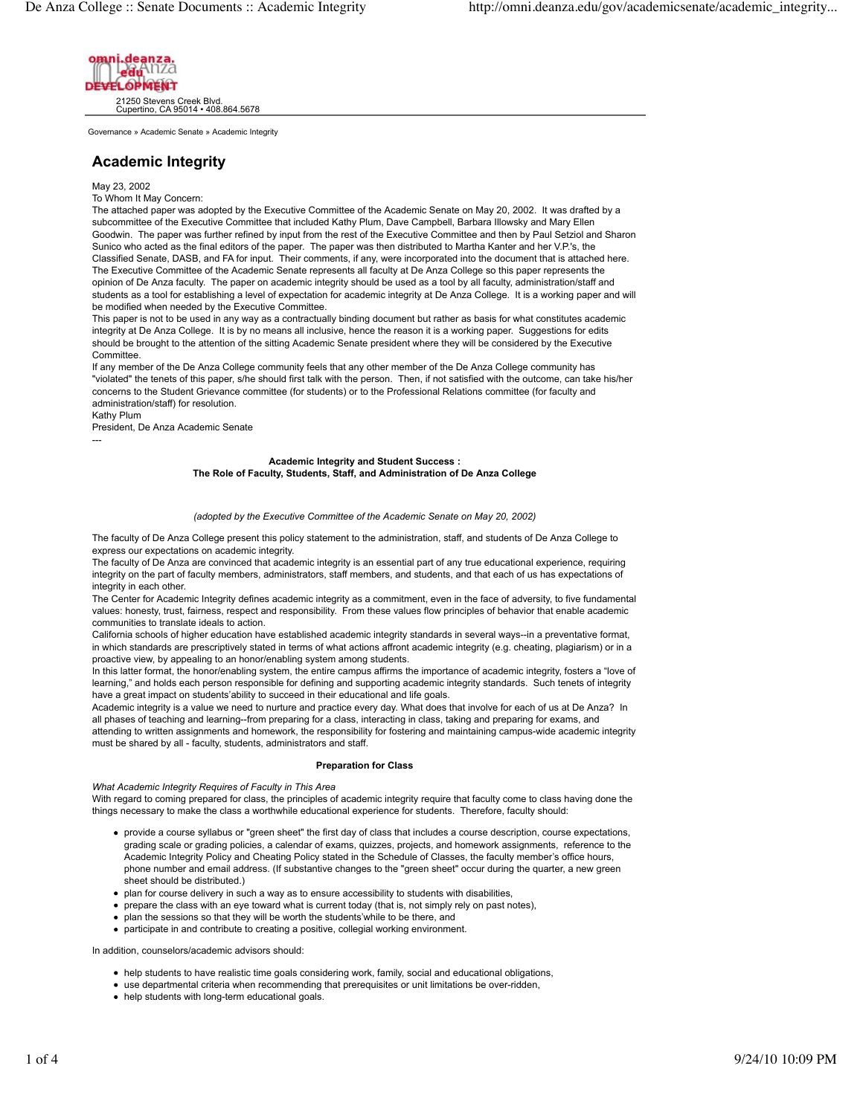

Governance » Academic Senate » Academic Integrity

# **Academic Integrity**

May 23, 2002

To Whom It May Concern:

The attached paper was adopted by the Executive Committee of the Academic Senate on May 20, 2002. It was drafted by a subcommittee of the Executive Committee that included Kathy Plum, Dave Campbell, Barbara Illowsky and Mary Ellen Goodwin. The paper was further refined by input from the rest of the Executive Committee and then by Paul Setziol and Sharon Sunico who acted as the final editors of the paper. The paper was then distributed to Martha Kanter and her V.P.'s, the Classified Senate, DASB, and FA for input. Their comments, if any, were incorporated into the document that is attached here. The Executive Committee of the Academic Senate represents all faculty at De Anza College so this paper represents the opinion of De Anza faculty. The paper on academic integrity should be used as a tool by all faculty, administration/staff and students as a tool for establishing a level of expectation for academic integrity at De Anza College. It is a working paper and will be modified when needed by the Executive Committee.

This paper is not to be used in any way as a contractually binding document but rather as basis for what constitutes academic integrity at De Anza College. It is by no means all inclusive, hence the reason it is a working paper. Suggestions for edits should be brought to the attention of the sitting Academic Senate president where they will be considered by the Executive Committee.

If any member of the De Anza College community feels that any other member of the De Anza College community has "violated" the tenets of this paper, s/he should first talk with the person. Then, if not satisfied with the outcome, can take his/her concerns to the Student Grievance committee (for students) or to the Professional Relations committee (for faculty and administration/staff) for resolution.

Kathy Plum

---

President, De Anza Academic Senate

# **Academic Integrity and Student Success : The Role of Faculty, Students, Staff, and Administration of De Anza College**

### *(adopted by the Executive Committee of the Academic Senate on May 20, 2002)*

The faculty of De Anza College present this policy statement to the administration, staff, and students of De Anza College to express our expectations on academic integrity.

The faculty of De Anza are convinced that academic integrity is an essential part of any true educational experience, requiring integrity on the part of faculty members, administrators, staff members, and students, and that each of us has expectations of integrity in each other.

The Center for Academic Integrity defines academic integrity as a commitment, even in the face of adversity, to five fundamental values: honesty, trust, fairness, respect and responsibility. From these values flow principles of behavior that enable academic communities to translate ideals to action.

California schools of higher education have established academic integrity standards in several ways--in a preventative format, in which standards are prescriptively stated in terms of what actions affront academic integrity (e.g. cheating, plagiarism) or in a proactive view, by appealing to an honor/enabling system among students.

In this latter format, the honor/enabling system, the entire campus affirms the importance of academic integrity, fosters a "love of learning," and holds each person responsible for defining and supporting academic integrity standards. Such tenets of integrity have a great impact on students'ability to succeed in their educational and life goals.

Academic integrity is a value we need to nurture and practice every day. What does that involve for each of us at De Anza? In all phases of teaching and learning--from preparing for a class, interacting in class, taking and preparing for exams, and attending to written assignments and homework, the responsibility for fostering and maintaining campus-wide academic integrity must be shared by all - faculty, students, administrators and staff.

### **Preparation for Class**

*What Academic Integrity Requires of Faculty in This Area*

With regard to coming prepared for class, the principles of academic integrity require that faculty come to class having done the things necessary to make the class a worthwhile educational experience for students. Therefore, faculty should:

- provide a course syllabus or "green sheet" the first day of class that includes a course description, course expectations, grading scale or grading policies, a calendar of exams, quizzes, projects, and homework assignments, reference to the Academic Integrity Policy and Cheating Policy stated in the Schedule of Classes, the faculty member's office hours, phone number and email address. (If substantive changes to the "green sheet" occur during the quarter, a new green sheet should be distributed.)
- plan for course delivery in such a way as to ensure accessibility to students with disabilities,
- prepare the class with an eye toward what is current today (that is, not simply rely on past notes),
- plan the sessions so that they will be worth the students'while to be there, and
- participate in and contribute to creating a positive, collegial working environment.

In addition, counselors/academic advisors should:

- help students to have realistic time goals considering work, family, social and educational obligations,
- use departmental criteria when recommending that prerequisites or unit limitations be over-ridden,
- help students with long-term educational goals.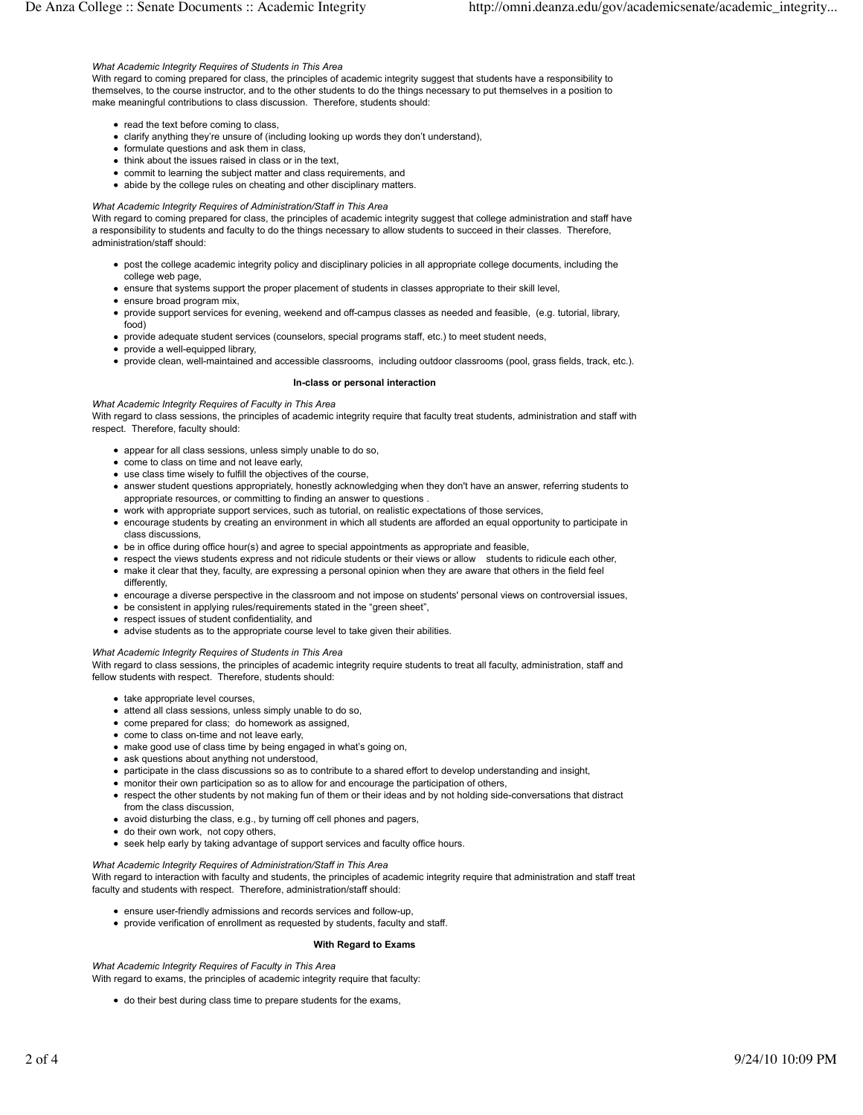### *What Academic Integrity Requires of Students in This Area*

With regard to coming prepared for class, the principles of academic integrity suggest that students have a responsibility to themselves, to the course instructor, and to the other students to do the things necessary to put themselves in a position to make meaningful contributions to class discussion. Therefore, students should:

- read the text before coming to class,
- clarify anything they're unsure of (including looking up words they don't understand),
- formulate questions and ask them in class,
- think about the issues raised in class or in the text,
- commit to learning the subject matter and class requirements, and
- abide by the college rules on cheating and other disciplinary matters.

#### *What Academic Integrity Requires of Administration/Staff in This Area*

With regard to coming prepared for class, the principles of academic integrity suggest that college administration and staff have a responsibility to students and faculty to do the things necessary to allow students to succeed in their classes. Therefore, administration/staff should:

- post the college academic integrity policy and disciplinary policies in all appropriate college documents, including the college web page,
- ensure that systems support the proper placement of students in classes appropriate to their skill level,
- ensure broad program mix.
- provide support services for evening, weekend and off-campus classes as needed and feasible, (e.g. tutorial, library, food)
- provide adequate student services (counselors, special programs staff, etc.) to meet student needs,
- provide a well-equipped library,
- provide clean, well-maintained and accessible classrooms, including outdoor classrooms (pool, grass fields, track, etc.).

#### **In-class or personal interaction**

*What Academic Integrity Requires of Faculty in This Area* With regard to class sessions, the principles of academic integrity require that faculty treat students, administration and staff with respect. Therefore, faculty should:

- appear for all class sessions, unless simply unable to do so,
- come to class on time and not leave early,
- use class time wisely to fulfill the objectives of the course,
- answer student questions appropriately, honestly acknowledging when they don't have an answer, referring students to appropriate resources, or committing to finding an answer to questions .
- work with appropriate support services, such as tutorial, on realistic expectations of those services,
- encourage students by creating an environment in which all students are afforded an equal opportunity to participate in class discussions,
- be in office during office hour(s) and agree to special appointments as appropriate and feasible,
- respect the views students express and not ridicule students or their views or allow students to ridicule each other,
- make it clear that they, faculty, are expressing a personal opinion when they are aware that others in the field feel differently,
- encourage a diverse perspective in the classroom and not impose on students' personal views on controversial issues,
- be consistent in applying rules/requirements stated in the "green sheet",
- respect issues of student confidentiality, and
- advise students as to the appropriate course level to take given their abilities.

### *What Academic Integrity Requires of Students in This Area*

With regard to class sessions, the principles of academic integrity require students to treat all faculty, administration, staff and fellow students with respect. Therefore, students should:

- take appropriate level courses,
- attend all class sessions, unless simply unable to do so,
- come prepared for class; do homework as assigned,
- come to class on-time and not leave early,
- make good use of class time by being engaged in what's going on,
- ask questions about anything not understood.
- participate in the class discussions so as to contribute to a shared effort to develop understanding and insight,
- monitor their own participation so as to allow for and encourage the participation of others,
- respect the other students by not making fun of them or their ideas and by not holding side-conversations that distract from the class discussion,
- avoid disturbing the class, e.g., by turning off cell phones and pagers,
- do their own work, not copy others,
- seek help early by taking advantage of support services and faculty office hours.

*What Academic Integrity Requires of Administration/Staff in This Area*

With regard to interaction with faculty and students, the principles of academic integrity require that administration and staff treat faculty and students with respect. Therefore, administration/staff should:

- ensure user-friendly admissions and records services and follow-up,
- provide verification of enrollment as requested by students, faculty and staff.

#### **With Regard to Exams**

*What Academic Integrity Requires of Faculty in This Area* With regard to exams, the principles of academic integrity require that faculty:

do their best during class time to prepare students for the exams,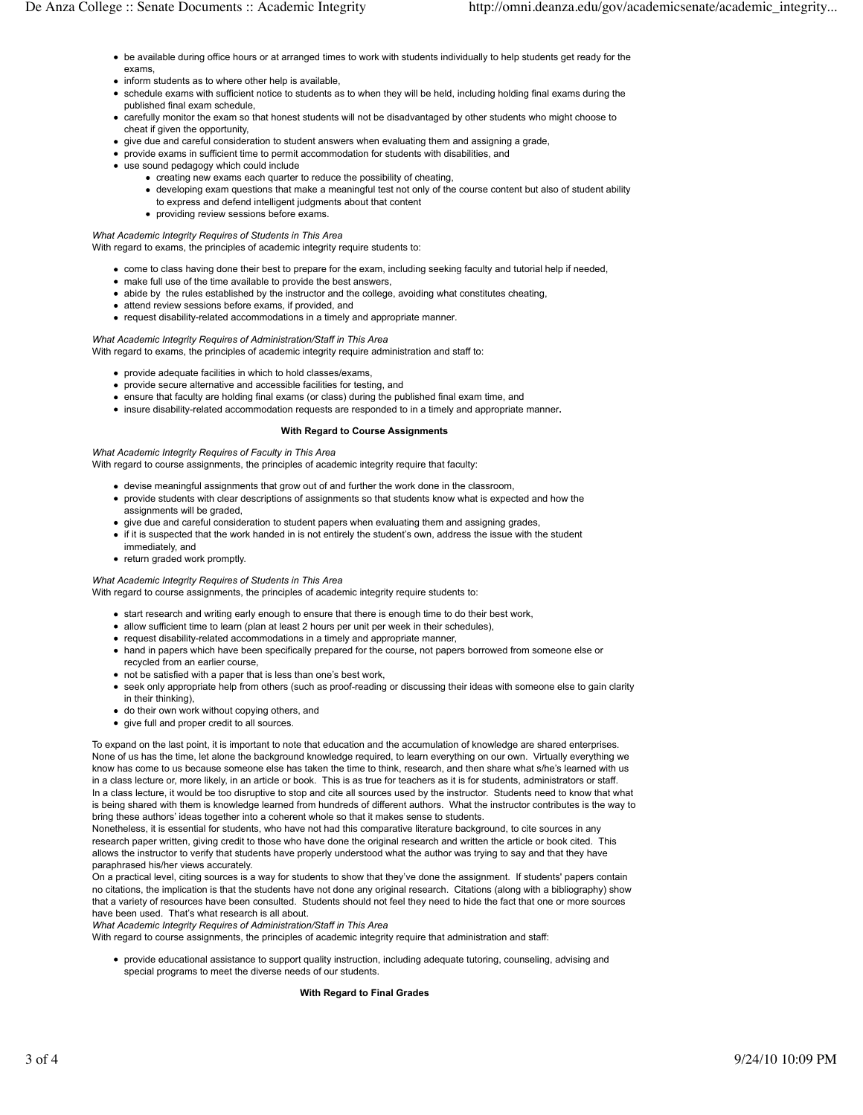- be available during office hours or at arranged times to work with students individually to help students get ready for the exams,
- inform students as to where other help is available,
- schedule exams with sufficient notice to students as to when they will be held, including holding final exams during the published final exam schedule,
- carefully monitor the exam so that honest students will not be disadvantaged by other students who might choose to cheat if given the opportunity,
- give due and careful consideration to student answers when evaluating them and assigning a grade,
- provide exams in sufficient time to permit accommodation for students with disabilities, and
- use sound pedagogy which could include
	- creating new exams each quarter to reduce the possibility of cheating,
		- developing exam questions that make a meaningful test not only of the course content but also of student ability to express and defend intelligent judgments about that content
		- providing review sessions before exams.

# *What Academic Integrity Requires of Students in This Area*

With regard to exams, the principles of academic integrity require students to:

- come to class having done their best to prepare for the exam, including seeking faculty and tutorial help if needed,
- make full use of the time available to provide the best answers,
- abide by the rules established by the instructor and the college, avoiding what constitutes cheating,
- attend review sessions before exams, if provided, and
- request disability-related accommodations in a timely and appropriate manner*.*

# *What Academic Integrity Requires of Administration/Staff in This Area*

With regard to exams, the principles of academic integrity require administration and staff to:

- provide adequate facilities in which to hold classes/exams,
- provide secure alternative and accessible facilities for testing, and
- ensure that faculty are holding final exams (or class) during the published final exam time, and
- insure disability-related accommodation requests are responded to in a timely and appropriate manner**.**

## **With Regard to Course Assignments**

*What Academic Integrity Requires of Faculty in This Area* With regard to course assignments, the principles of academic integrity require that faculty:

- devise meaningful assignments that grow out of and further the work done in the classroom,
- provide students with clear descriptions of assignments so that students know what is expected and how the assignments will be graded,
- give due and careful consideration to student papers when evaluating them and assigning grades,
- if it is suspected that the work handed in is not entirely the student's own, address the issue with the student immediately, and
- return graded work promptly.

# *What Academic Integrity Requires of Students in This Area*

With regard to course assignments, the principles of academic integrity require students to:

- start research and writing early enough to ensure that there is enough time to do their best work,
- allow sufficient time to learn (plan at least 2 hours per unit per week in their schedules),
- request disability-related accommodations in a timely and appropriate manner,
- hand in papers which have been specifically prepared for the course, not papers borrowed from someone else or recycled from an earlier course,
- not be satisfied with a paper that is less than one's best work,
- seek only appropriate help from others (such as proof-reading or discussing their ideas with someone else to gain clarity in their thinking),
- do their own work without copying others, and
- give full and proper credit to all sources.

To expand on the last point, it is important to note that education and the accumulation of knowledge are shared enterprises. None of us has the time, let alone the background knowledge required, to learn everything on our own. Virtually everything we know has come to us because someone else has taken the time to think, research, and then share what s/he's learned with us in a class lecture or, more likely, in an article or book. This is as true for teachers as it is for students, administrators or staff. In a class lecture, it would be too disruptive to stop and cite all sources used by the instructor. Students need to know that what is being shared with them is knowledge learned from hundreds of different authors. What the instructor contributes is the way to bring these authors' ideas together into a coherent whole so that it makes sense to students.

Nonetheless, it is essential for students, who have not had this comparative literature background, to cite sources in any research paper written, giving credit to those who have done the original research and written the article or book cited. This allows the instructor to verify that students have properly understood what the author was trying to say and that they have paraphrased his/her views accurately.

On a practical level, citing sources is a way for students to show that they've done the assignment. If students' papers contain no citations, the implication is that the students have not done any original research. Citations (along with a bibliography) show that a variety of resources have been consulted. Students should not feel they need to hide the fact that one or more sources have been used. That's what research is all about.

*What Academic Integrity Requires of Administration/Staff in This Area*

With regard to course assignments, the principles of academic integrity require that administration and staff:

provide educational assistance to support quality instruction, including adequate tutoring, counseling, advising and special programs to meet the diverse needs of our students.

### **With Regard to Final Grades**